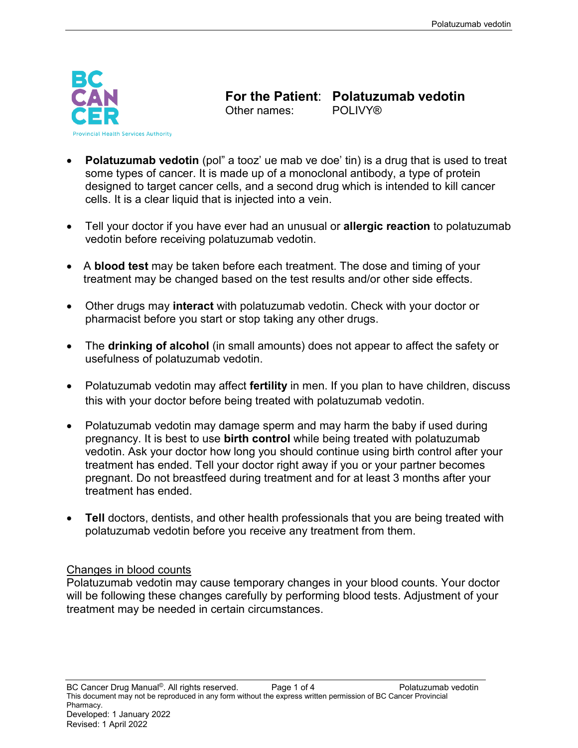

**For the Patient: Polatuzumab vedotin**<br>Other names: POLIVY® Other names:

- **Polatuzumab vedotin** (pol" a tooz' ue mab ve doe' tin) is a drug that is used to treat some types of cancer. It is made up of a monoclonal antibody, a type of protein designed to target cancer cells, and a second drug which is intended to kill cancer cells. It is a clear liquid that is injected into a vein.
- Tell your doctor if you have ever had an unusual or **allergic reaction** to polatuzumab vedotin before receiving polatuzumab vedotin.
- A **blood test** may be taken before each treatment. The dose and timing of your treatment may be changed based on the test results and/or other side effects.
- Other drugs may **interact** with polatuzumab vedotin. Check with your doctor or pharmacist before you start or stop taking any other drugs.
- The **drinking of alcohol** (in small amounts) does not appear to affect the safety or usefulness of polatuzumab vedotin.
- Polatuzumab vedotin may affect **fertility** in men. If you plan to have children, discuss this with your doctor before being treated with polatuzumab vedotin.
- Polatuzumab vedotin may damage sperm and may harm the baby if used during pregnancy. It is best to use **birth control** while being treated with polatuzumab vedotin. Ask your doctor how long you should continue using birth control after your treatment has ended. Tell your doctor right away if you or your partner becomes pregnant. Do not breastfeed during treatment and for at least 3 months after your treatment has ended.
- **Tell** doctors, dentists, and other health professionals that you are being treated with polatuzumab vedotin before you receive any treatment from them.

#### Changes in blood counts

Polatuzumab vedotin may cause temporary changes in your blood counts. Your doctor will be following these changes carefully by performing blood tests. Adjustment of your treatment may be needed in certain circumstances.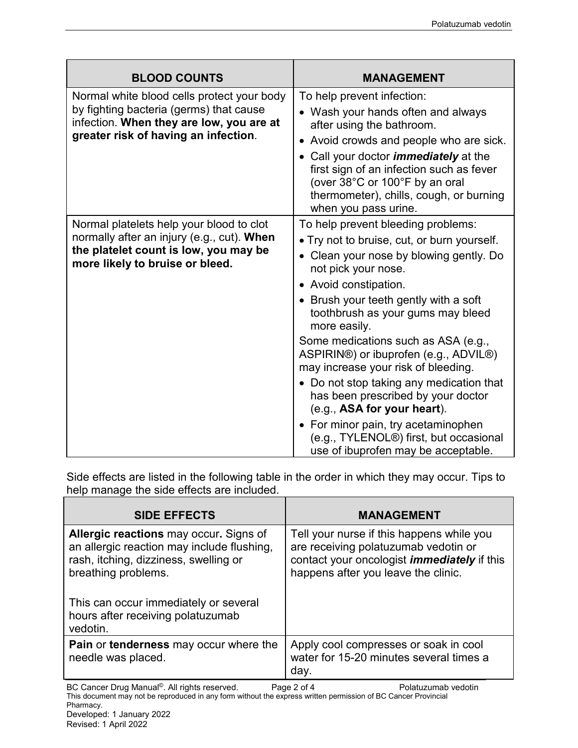| <b>BLOOD COUNTS</b>                                                                                                                                                       | <b>MANAGEMENT</b>                                                                                                                                                                                                                                                                                                                                                                                                                                                                                                                                                                                                                                     |
|---------------------------------------------------------------------------------------------------------------------------------------------------------------------------|-------------------------------------------------------------------------------------------------------------------------------------------------------------------------------------------------------------------------------------------------------------------------------------------------------------------------------------------------------------------------------------------------------------------------------------------------------------------------------------------------------------------------------------------------------------------------------------------------------------------------------------------------------|
| Normal white blood cells protect your body<br>by fighting bacteria (germs) that cause<br>infection. When they are low, you are at<br>greater risk of having an infection. | To help prevent infection:<br>• Wash your hands often and always<br>after using the bathroom.<br>• Avoid crowds and people who are sick.<br>Call your doctor <i>immediately</i> at the<br>first sign of an infection such as fever<br>(over 38°C or 100°F by an oral<br>thermometer), chills, cough, or burning<br>when you pass urine.                                                                                                                                                                                                                                                                                                               |
| Normal platelets help your blood to clot<br>normally after an injury (e.g., cut). When<br>the platelet count is low, you may be<br>more likely to bruise or bleed.        | To help prevent bleeding problems:<br>• Try not to bruise, cut, or burn yourself.<br>Clean your nose by blowing gently. Do<br>not pick your nose.<br>• Avoid constipation.<br>• Brush your teeth gently with a soft<br>toothbrush as your gums may bleed<br>more easily.<br>Some medications such as ASA (e.g.,<br>ASPIRIN®) or ibuprofen (e.g., ADVIL®)<br>may increase your risk of bleeding.<br>• Do not stop taking any medication that<br>has been prescribed by your doctor<br>(e.g., ASA for your heart).<br>• For minor pain, try acetaminophen<br>(e.g., TYLENOL <sup>®</sup> ) first, but occasional<br>use of ibuprofen may be acceptable. |

Side effects are listed in the following table in the order in which they may occur. Tips to help manage the side effects are included.

| <b>SIDE EFFECTS</b>                                                                                                                                                                                                                                   | <b>MANAGEMENT</b>                                                                                                                                                              |
|-------------------------------------------------------------------------------------------------------------------------------------------------------------------------------------------------------------------------------------------------------|--------------------------------------------------------------------------------------------------------------------------------------------------------------------------------|
| <b>Allergic reactions</b> may occur. Signs of<br>an allergic reaction may include flushing,<br>rash, itching, dizziness, swelling or<br>breathing problems.<br>This can occur immediately or several<br>hours after receiving polatuzumab<br>vedotin. | Tell your nurse if this happens while you<br>are receiving polatuzumab vedotin or<br>contact your oncologist <i>immediately</i> if this<br>happens after you leave the clinic. |
| <b>Pain or tenderness</b> may occur where the<br>needle was placed.                                                                                                                                                                                   | Apply cool compresses or soak in cool<br>water for 15-20 minutes several times a<br>day.                                                                                       |
| RC Cancer Drug Manual <sup>©</sup> All rights reserved                                                                                                                                                                                                | $P$ ane $2$ of $\Lambda$<br>Polatuzumah vedotin                                                                                                                                |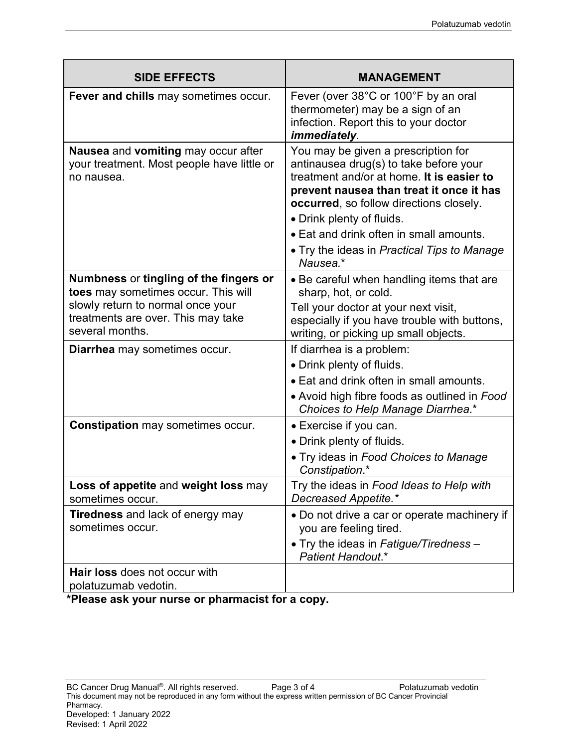| <b>SIDE EFFECTS</b>                                                                                                                                                         | <b>MANAGEMENT</b>                                                                                                                                                                                                                                                                                                                                    |
|-----------------------------------------------------------------------------------------------------------------------------------------------------------------------------|------------------------------------------------------------------------------------------------------------------------------------------------------------------------------------------------------------------------------------------------------------------------------------------------------------------------------------------------------|
| Fever and chills may sometimes occur.                                                                                                                                       | Fever (over 38°C or 100°F by an oral<br>thermometer) may be a sign of an<br>infection. Report this to your doctor<br>immediately.                                                                                                                                                                                                                    |
| Nausea and vomiting may occur after<br>your treatment. Most people have little or<br>no nausea.                                                                             | You may be given a prescription for<br>antinausea drug(s) to take before your<br>treatment and/or at home. It is easier to<br>prevent nausea than treat it once it has<br>occurred, so follow directions closely.<br>• Drink plenty of fluids.<br>• Eat and drink often in small amounts.<br>• Try the ideas in Practical Tips to Manage<br>Nausea.* |
| Numbness or tingling of the fingers or<br>toes may sometimes occur. This will<br>slowly return to normal once your<br>treatments are over. This may take<br>several months. | • Be careful when handling items that are<br>sharp, hot, or cold.<br>Tell your doctor at your next visit,<br>especially if you have trouble with buttons,<br>writing, or picking up small objects.                                                                                                                                                   |
| Diarrhea may sometimes occur.                                                                                                                                               | If diarrhea is a problem:<br>• Drink plenty of fluids.<br>• Eat and drink often in small amounts.<br>• Avoid high fibre foods as outlined in Food<br>Choices to Help Manage Diarrhea.*                                                                                                                                                               |
| <b>Constipation</b> may sometimes occur.                                                                                                                                    | • Exercise if you can.<br>• Drink plenty of fluids.<br>. Try ideas in Food Choices to Manage<br>Constipation.*                                                                                                                                                                                                                                       |
| Loss of appetite and weight loss may<br>sometimes occur.                                                                                                                    | Try the ideas in Food Ideas to Help with<br>Decreased Appetite.*                                                                                                                                                                                                                                                                                     |
| Tiredness and lack of energy may<br>sometimes occur.                                                                                                                        | • Do not drive a car or operate machinery if<br>you are feeling tired.<br>. Try the ideas in Fatigue/Tiredness -<br><b>Patient Handout.*</b>                                                                                                                                                                                                         |
| <b>Hair loss does not occur with</b><br>polatuzumab vedotin.                                                                                                                |                                                                                                                                                                                                                                                                                                                                                      |

**\*Please ask your nurse or pharmacist for a copy.**